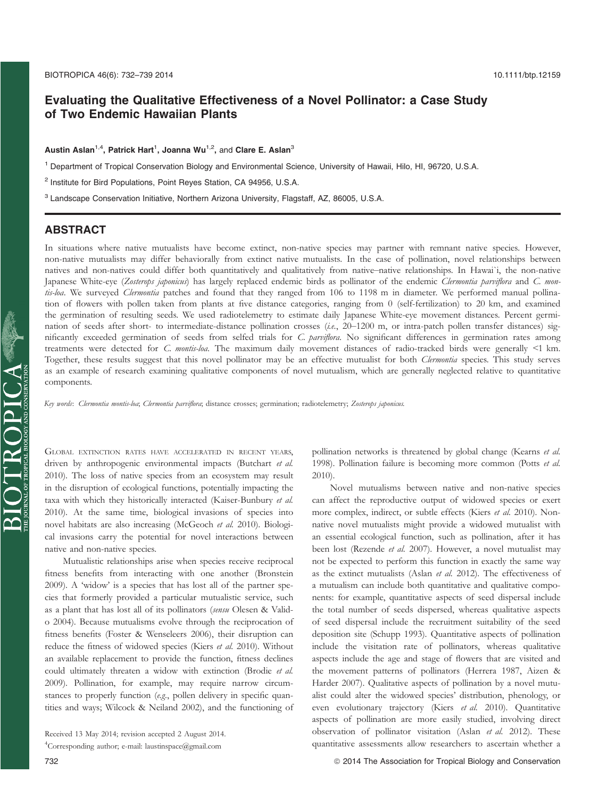# Evaluating the Qualitative Effectiveness of a Novel Pollinator: a Case Study of Two Endemic Hawaiian Plants

#### Austin Aslan $^{1,4}$ , Patrick Hart $^{1}$ , Joanna Wu $^{1,2}$ , and Clare E. Aslan $^{3}$

<sup>1</sup> Department of Tropical Conservation Biology and Environmental Science, University of Hawaii, Hilo, HI, 96720, U.S.A.

<sup>2</sup> Institute for Bird Populations, Point Reyes Station, CA 94956, U.S.A.

<sup>3</sup> Landscape Conservation Initiative, Northern Arizona University, Flagstaff, AZ, 86005, U.S.A.

## ABSTRACT

 $\mathrm{O}\mathrm{PIC}_{\tiny \textrm{Aorech} \ \textnormal{nonconvex}} \mathrm{IC}_{\tiny \textrm{Aorech} \ \textnormal{nonconvex}}$ 

 $\infty$ 

In situations where native mutualists have become extinct, non-native species may partner with remnant native species. However, non-native mutualists may differ behaviorally from extinct native mutualists. In the case of pollination, novel relationships between natives and non-natives could differ both quantitatively and qualitatively from native–native relationships. In Hawai`i, the non-native Japanese White-eye (Zosterops japonicus) has largely replaced endemic birds as pollinator of the endemic Clermontia parviflora and C. montis-loa. We surveyed Clermontia patches and found that they ranged from 106 to 1198 m in diameter. We performed manual pollination of flowers with pollen taken from plants at five distance categories, ranging from 0 (self-fertilization) to 20 km, and examined the germination of resulting seeds. We used radiotelemetry to estimate daily Japanese White-eye movement distances. Percent germination of seeds after short- to intermediate-distance pollination crosses (i.e., 20-1200 m, or intra-patch pollen transfer distances) significantly exceeded germination of seeds from selfed trials for C. parviflora. No significant differences in germination rates among treatments were detected for C. montis-loa. The maximum daily movement distances of radio-tracked birds were generally <1 km. Together, these results suggest that this novel pollinator may be an effective mutualist for both Clermontia species. This study serves as an example of research examining qualitative components of novel mutualism, which are generally neglected relative to quantitative components.

Key words: Clermontia montis-loa; Clermontia parviflora; distance crosses; germination; radiotelemetry; Zosterops japonicus.

GLOBAL EXTINCTION RATES HAVE ACCELERATED IN RECENT YEARS, driven by anthropogenic environmental impacts (Butchart et al. 2010). The loss of native species from an ecosystem may result in the disruption of ecological functions, potentially impacting the taxa with which they historically interacted (Kaiser-Bunbury et al. 2010). At the same time, biological invasions of species into novel habitats are also increasing (McGeoch et al. 2010). Biological invasions carry the potential for novel interactions between native and non-native species.

Mutualistic relationships arise when species receive reciprocal fitness benefits from interacting with one another (Bronstein 2009). A 'widow' is a species that has lost all of the partner species that formerly provided a particular mutualistic service, such as a plant that has lost all of its pollinators (sensu Olesen & Valido 2004). Because mutualisms evolve through the reciprocation of fitness benefits (Foster & Wenseleers 2006), their disruption can reduce the fitness of widowed species (Kiers et al. 2010). Without an available replacement to provide the function, fitness declines could ultimately threaten a widow with extinction (Brodie et al. 2009). Pollination, for example, may require narrow circumstances to properly function (e.g., pollen delivery in specific quantities and ways; Wilcock & Neiland 2002), and the functioning of

pollination networks is threatened by global change (Kearns et al. 1998). Pollination failure is becoming more common (Potts et al. 2010).

Novel mutualisms between native and non-native species can affect the reproductive output of widowed species or exert more complex, indirect, or subtle effects (Kiers et al. 2010). Nonnative novel mutualists might provide a widowed mutualist with an essential ecological function, such as pollination, after it has been lost (Rezende et al. 2007). However, a novel mutualist may not be expected to perform this function in exactly the same way as the extinct mutualists (Aslan et al. 2012). The effectiveness of a mutualism can include both quantitative and qualitative components: for example, quantitative aspects of seed dispersal include the total number of seeds dispersed, whereas qualitative aspects of seed dispersal include the recruitment suitability of the seed deposition site (Schupp 1993). Quantitative aspects of pollination include the visitation rate of pollinators, whereas qualitative aspects include the age and stage of flowers that are visited and the movement patterns of pollinators (Herrera 1987, Aizen & Harder 2007). Qualitative aspects of pollination by a novel mutualist could alter the widowed species' distribution, phenology, or even evolutionary trajectory (Kiers et al. 2010). Quantitative aspects of pollination are more easily studied, involving direct observation of pollinator visitation (Aslan et al. 2012). These quantitative assessments allow researchers to ascertain whether a

Received 13 May 2014; revision accepted 2 August 2014.

<sup>4</sup> Corresponding author; e-mail: laustinspace@gmail.com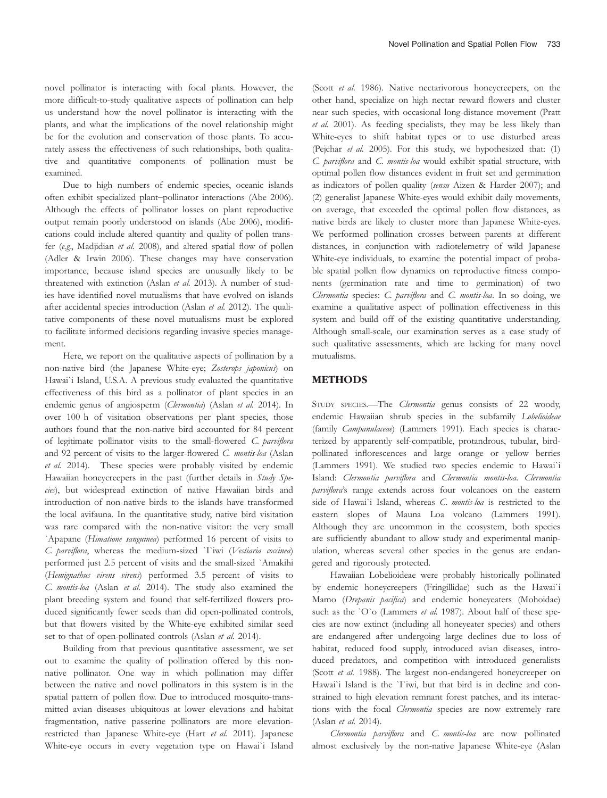novel pollinator is interacting with focal plants. However, the more difficult-to-study qualitative aspects of pollination can help us understand how the novel pollinator is interacting with the plants, and what the implications of the novel relationship might be for the evolution and conservation of those plants. To accurately assess the effectiveness of such relationships, both qualitative and quantitative components of pollination must be examined.

Due to high numbers of endemic species, oceanic islands often exhibit specialized plant–pollinator interactions (Abe 2006). Although the effects of pollinator losses on plant reproductive output remain poorly understood on islands (Abe 2006), modifications could include altered quantity and quality of pollen transfer (e.g., Madjidian et al. 2008), and altered spatial flow of pollen (Adler & Irwin 2006). These changes may have conservation importance, because island species are unusually likely to be threatened with extinction (Aslan et al. 2013). A number of studies have identified novel mutualisms that have evolved on islands after accidental species introduction (Aslan et al. 2012). The qualitative components of these novel mutualisms must be explored to facilitate informed decisions regarding invasive species management.

Here, we report on the qualitative aspects of pollination by a non-native bird (the Japanese White-eye; Zosterops japonicus) on Hawai`i Island, U.S.A. A previous study evaluated the quantitative effectiveness of this bird as a pollinator of plant species in an endemic genus of angiosperm (Clermontia) (Aslan et al. 2014). In over 100 h of visitation observations per plant species, those authors found that the non-native bird accounted for 84 percent of legitimate pollinator visits to the small-flowered C. parviflora and 92 percent of visits to the larger-flowered C. montis-loa (Aslan et al. 2014). These species were probably visited by endemic Hawaiian honeycreepers in the past (further details in Study Species), but widespread extinction of native Hawaiian birds and introduction of non-native birds to the islands have transformed the local avifauna. In the quantitative study, native bird visitation was rare compared with the non-native visitor: the very small `Apapane (Himatione sanguinea) performed 16 percent of visits to C. parviflora, whereas the medium-sized `I`iwi (Vestiaria coccinea) performed just 2.5 percent of visits and the small-sized `Amakihi (Hemignathus virens virens) performed 3.5 percent of visits to C. montis-loa (Aslan et al. 2014). The study also examined the plant breeding system and found that self-fertilized flowers produced significantly fewer seeds than did open-pollinated controls, but that flowers visited by the White-eye exhibited similar seed set to that of open-pollinated controls (Aslan et al. 2014).

Building from that previous quantitative assessment, we set out to examine the quality of pollination offered by this nonnative pollinator. One way in which pollination may differ between the native and novel pollinators in this system is in the spatial pattern of pollen flow. Due to introduced mosquito-transmitted avian diseases ubiquitous at lower elevations and habitat fragmentation, native passerine pollinators are more elevationrestricted than Japanese White-eye (Hart et al. 2011). Japanese White-eye occurs in every vegetation type on Hawai`i Island

(Scott et al. 1986). Native nectarivorous honeycreepers, on the other hand, specialize on high nectar reward flowers and cluster near such species, with occasional long-distance movement (Pratt et al. 2001). As feeding specialists, they may be less likely than White-eyes to shift habitat types or to use disturbed areas (Pejchar et al. 2005). For this study, we hypothesized that: (1) C. parviflora and C. montis-loa would exhibit spatial structure, with optimal pollen flow distances evident in fruit set and germination as indicators of pollen quality (sensu Aizen & Harder 2007); and (2) generalist Japanese White-eyes would exhibit daily movements, on average, that exceeded the optimal pollen flow distances, as native birds are likely to cluster more than Japanese White-eyes. We performed pollination crosses between parents at different distances, in conjunction with radiotelemetry of wild Japanese White-eye individuals, to examine the potential impact of probable spatial pollen flow dynamics on reproductive fitness components (germination rate and time to germination) of two Clermontia species: C. parviflora and C. montis-loa. In so doing, we examine a qualitative aspect of pollination effectiveness in this system and build off of the existing quantitative understanding. Although small-scale, our examination serves as a case study of such qualitative assessments, which are lacking for many novel mutualisms.

#### METHODS

STUDY SPECIES.-The Clermontia genus consists of 22 woody, endemic Hawaiian shrub species in the subfamily Lobelioideae (family Campanulaceae) (Lammers 1991). Each species is characterized by apparently self-compatible, protandrous, tubular, birdpollinated inflorescences and large orange or yellow berries (Lammers 1991). We studied two species endemic to Hawai`i Island: Clermontia parviflora and Clermontia montis-loa. Clermontia parviflora's range extends across four volcanoes on the eastern side of Hawai'i Island, whereas *C. montis-loa* is restricted to the eastern slopes of Mauna Loa volcano (Lammers 1991). Although they are uncommon in the ecosystem, both species are sufficiently abundant to allow study and experimental manipulation, whereas several other species in the genus are endangered and rigorously protected.

Hawaiian Lobelioideae were probably historically pollinated by endemic honeycreepers (Fringillidae) such as the Hawai`i Mamo (Drepanis pacifica) and endemic honeyeaters (Mohoidae) such as the `O`o (Lammers et al. 1987). About half of these species are now extinct (including all honeyeater species) and others are endangered after undergoing large declines due to loss of habitat, reduced food supply, introduced avian diseases, introduced predators, and competition with introduced generalists (Scott et al. 1988). The largest non-endangered honeycreeper on Hawai'i Island is the 'I'iwi, but that bird is in decline and constrained to high elevation remnant forest patches, and its interactions with the focal *Clermontia* species are now extremely rare (Aslan et al. 2014).

Clermontia parviflora and C. montis-loa are now pollinated almost exclusively by the non-native Japanese White-eye (Aslan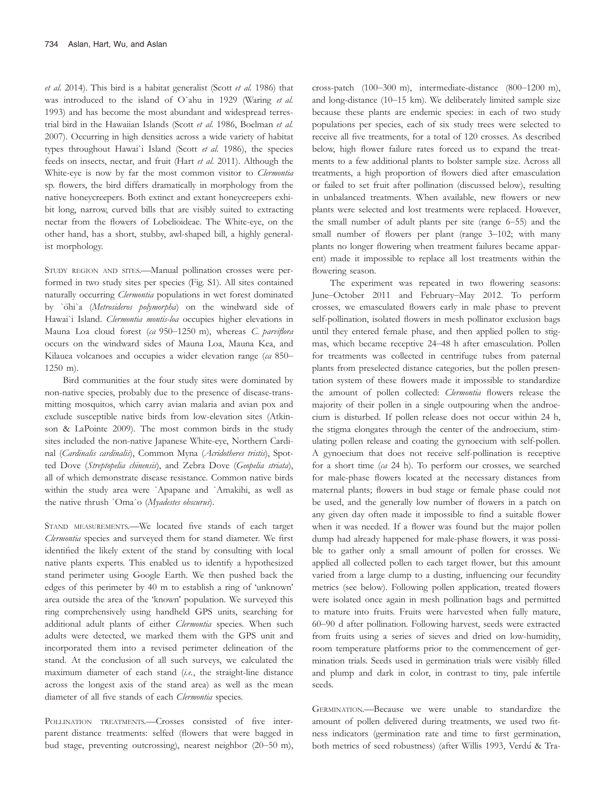et al. 2014). This bird is a habitat generalist (Scott et al. 1986) that was introduced to the island of O`ahu in 1929 (Waring et al. 1993) and has become the most abundant and widespread terrestrial bird in the Hawaiian Islands (Scott et al. 1986, Boelman et al. 2007). Occurring in high densities across a wide variety of habitat types throughout Hawai`i Island (Scott et al. 1986), the species feeds on insects, nectar, and fruit (Hart et al. 2011). Although the White-eye is now by far the most common visitor to *Clermontia* sp. flowers, the bird differs dramatically in morphology from the native honeycreepers. Both extinct and extant honeycreepers exhibit long, narrow, curved bills that are visibly suited to extracting nectar from the flowers of Lobelioideae. The White-eye, on the other hand, has a short, stubby, awl-shaped bill, a highly generalist morphology.

STUDY REGION AND SITES.—Manual pollination crosses were performed in two study sites per species (Fig. S1). All sites contained naturally occurring *Clermontia* populations in wet forest dominated by `ōhi`a (Metrosideros polymorpha) on the windward side of Hawai'i Island. Clermontia montis-loa occupies higher elevations in Mauna Loa cloud forest (ca 950-1250 m), whereas C. parviflora occurs on the windward sides of Mauna Loa, Mauna Kea, and Kilauea volcanoes and occupies a wider elevation range (ca 850– 1250 m).

Bird communities at the four study sites were dominated by non-native species, probably due to the presence of disease-transmitting mosquitos, which carry avian malaria and avian pox and exclude susceptible native birds from low-elevation sites (Atkinson & LaPointe 2009). The most common birds in the study sites included the non-native Japanese White-eye, Northern Cardinal (Cardinalis cardinalis), Common Myna (Acridotheres tristis), Spotted Dove (Streptopelia chinensis), and Zebra Dove (Geopelia striata), all of which demonstrate disease resistance. Common native birds within the study area were `Apapane and `Amakihi, as well as the native thrush `Oma`o (Myadestes obscurus).

STAND MEASUREMENTS.—We located five stands of each target Clermontia species and surveyed them for stand diameter. We first identified the likely extent of the stand by consulting with local native plants experts. This enabled us to identify a hypothesized stand perimeter using Google Earth. We then pushed back the edges of this perimeter by 40 m to establish a ring of 'unknown' area outside the area of the 'known' population. We surveyed this ring comprehensively using handheld GPS units, searching for additional adult plants of either Clermontia species. When such adults were detected, we marked them with the GPS unit and incorporated them into a revised perimeter delineation of the stand. At the conclusion of all such surveys, we calculated the maximum diameter of each stand (i.e., the straight-line distance across the longest axis of the stand area) as well as the mean diameter of all five stands of each *Clermontia* species.

POLLINATION TREATMENTS.—Crosses consisted of five interparent distance treatments: selfed (flowers that were bagged in bud stage, preventing outcrossing), nearest neighbor (20–50 m), cross-patch (100–300 m), intermediate-distance (800–1200 m), and long-distance (10–15 km). We deliberately limited sample size because these plants are endemic species: in each of two study populations per species, each of six study trees were selected to receive all five treatments, for a total of 120 crosses. As described below, high flower failure rates forced us to expand the treatments to a few additional plants to bolster sample size. Across all treatments, a high proportion of flowers died after emasculation or failed to set fruit after pollination (discussed below), resulting in unbalanced treatments. When available, new flowers or new plants were selected and lost treatments were replaced. However, the small number of adult plants per site (range 6–55) and the small number of flowers per plant (range 3–102; with many plants no longer flowering when treatment failures became apparent) made it impossible to replace all lost treatments within the flowering season.

The experiment was repeated in two flowering seasons: June–October 2011 and February–May 2012. To perform crosses, we emasculated flowers early in male phase to prevent self-pollination, isolated flowers in mesh pollinator exclusion bags until they entered female phase, and then applied pollen to stigmas, which became receptive 24–48 h after emasculation. Pollen for treatments was collected in centrifuge tubes from paternal plants from preselected distance categories, but the pollen presentation system of these flowers made it impossible to standardize the amount of pollen collected: *Clermontia* flowers release the majority of their pollen in a single outpouring when the androecium is disturbed. If pollen release does not occur within 24 h, the stigma elongates through the center of the androecium, stimulating pollen release and coating the gynoecium with self-pollen. A gynoecium that does not receive self-pollination is receptive for a short time (ca 24 h). To perform our crosses, we searched for male-phase flowers located at the necessary distances from maternal plants; flowers in bud stage or female phase could not be used, and the generally low number of flowers in a patch on any given day often made it impossible to find a suitable flower when it was needed. If a flower was found but the major pollen dump had already happened for male-phase flowers, it was possible to gather only a small amount of pollen for crosses. We applied all collected pollen to each target flower, but this amount varied from a large clump to a dusting, influencing our fecundity metrics (see below). Following pollen application, treated flowers were isolated once again in mesh pollination bags and permitted to mature into fruits. Fruits were harvested when fully mature, 60–90 d after pollination. Following harvest, seeds were extracted from fruits using a series of sieves and dried on low-humidity, room temperature platforms prior to the commencement of germination trials. Seeds used in germination trials were visibly filled and plump and dark in color, in contrast to tiny, pale infertile seeds.

GERMINATION.—Because we were unable to standardize the amount of pollen delivered during treatments, we used two fitness indicators (germination rate and time to first germination, both metrics of seed robustness) (after Willis 1993, Verdu & Tra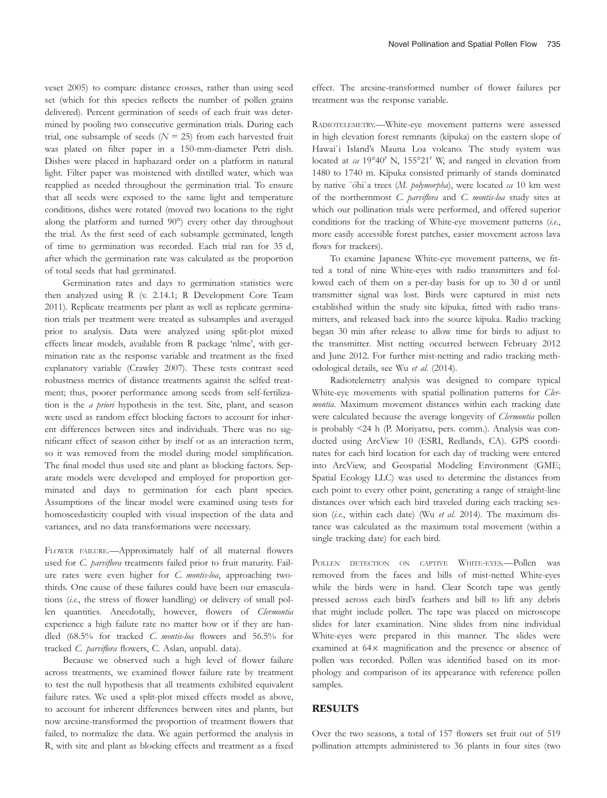veset 2005) to compare distance crosses, rather than using seed set (which for this species reflects the number of pollen grains delivered). Percent germination of seeds of each fruit was determined by pooling two consecutive germination trials. During each trial, one subsample of seeds ( $N = 25$ ) from each harvested fruit was plated on filter paper in a 150-mm-diameter Petri dish. Dishes were placed in haphazard order on a platform in natural light. Filter paper was moistened with distilled water, which was reapplied as needed throughout the germination trial. To ensure that all seeds were exposed to the same light and temperature conditions, dishes were rotated (moved two locations to the right along the platform and turned 90°) every other day throughout the trial. As the first seed of each subsample germinated, length of time to germination was recorded. Each trial ran for 35 d, after which the germination rate was calculated as the proportion of total seeds that had germinated.

Germination rates and days to germination statistics were then analyzed using R (v. 2.14.1; R Development Core Team 2011). Replicate treatments per plant as well as replicate germination trials per treatment were treated as subsamples and averaged prior to analysis. Data were analyzed using split-plot mixed effects linear models, available from R package 'nlme', with germination rate as the response variable and treatment as the fixed explanatory variable (Crawley 2007). These tests contrast seed robustness metrics of distance treatments against the selfed treatment; thus, poorer performance among seeds from self-fertilization is the a priori hypothesis in the test. Site, plant, and season were used as random effect blocking factors to account for inherent differences between sites and individuals. There was no significant effect of season either by itself or as an interaction term, so it was removed from the model during model simplification. The final model thus used site and plant as blocking factors. Separate models were developed and employed for proportion germinated and days to germination for each plant species. Assumptions of the linear model were examined using tests for homoscedasticity coupled with visual inspection of the data and variances, and no data transformations were necessary.

FLOWER FAILURE.—Approximately half of all maternal flowers used for C. parviflora treatments failed prior to fruit maturity. Failure rates were even higher for C. montis-loa, approaching twothirds. One cause of these failures could have been our emasculations (i.e., the stress of flower handling) or delivery of small pollen quantities. Anecdotally, however, flowers of Clermontia experience a high failure rate no matter how or if they are handled (68.5% for tracked C. montis-loa flowers and 56.5% for tracked C. parviflora flowers, C. Aslan, unpubl. data).

Because we observed such a high level of flower failure across treatments, we examined flower failure rate by treatment to test the null hypothesis that all treatments exhibited equivalent failure rates. We used a split-plot mixed effects model as above, to account for inherent differences between sites and plants, but now arcsine-transformed the proportion of treatment flowers that failed, to normalize the data. We again performed the analysis in R, with site and plant as blocking effects and treatment as a fixed

effect. The arcsine-transformed number of flower failures per treatment was the response variable.

RADIOTELEMETRY.—White-eye movement patterns were assessed in high elevation forest remnants (kipuka) on the eastern slope of Hawai`i Island's Mauna Loa volcano. The study system was located at  $ca 19^{\circ}40'$  N,  $155^{\circ}21'$  W, and ranged in elevation from 1480 to 1740 m. Kipuka consisted primarily of stands dominated by native `ōhi`a trees (M. polymorpha), were located ca 10 km west of the northernmost C. parviflora and C. montis-loa study sites at which our pollination trials were performed, and offered superior conditions for the tracking of White-eye movement patterns (i.e., more easily accessible forest patches, easier movement across lava flows for trackers).

To examine Japanese White-eye movement patterns, we fitted a total of nine White-eyes with radio transmitters and followed each of them on a per-day basis for up to 30 d or until transmitter signal was lost. Birds were captured in mist nets established within the study site kipuka, fitted with radio transmitters, and released back into the source kipuka. Radio tracking began 30 min after release to allow time for birds to adjust to the transmitter. Mist netting occurred between February 2012 and June 2012. For further mist-netting and radio tracking methodological details, see Wu et al. (2014).

Radiotelemetry analysis was designed to compare typical White-eye movements with spatial pollination patterns for Clermontia. Maximum movement distances within each tracking date were calculated because the average longevity of *Clermontia* pollen is probably <24 h (P. Moriyatsu, pers. comm.). Analysis was conducted using ArcView 10 (ESRI, Redlands, CA). GPS coordinates for each bird location for each day of tracking were entered into ArcView, and Geospatial Modeling Environment (GME; Spatial Ecology LLC) was used to determine the distances from each point to every other point, generating a range of straight-line distances over which each bird traveled during each tracking session (i.e., within each date) (Wu et al. 2014). The maximum distance was calculated as the maximum total movement (within a single tracking date) for each bird.

POLLEN DETECTION ON CAPTIVE WHITE-EYES.—Pollen was removed from the faces and bills of mist-netted White-eyes while the birds were in hand. Clear Scotch tape was gently pressed across each bird's feathers and bill to lift any debris that might include pollen. The tape was placed on microscope slides for later examination. Nine slides from nine individual White-eyes were prepared in this manner. The slides were examined at  $64\times$  magnification and the presence or absence of pollen was recorded. Pollen was identified based on its morphology and comparison of its appearance with reference pollen samples.

#### RESULTS

Over the two seasons, a total of 157 flowers set fruit out of 519 pollination attempts administered to 36 plants in four sites (two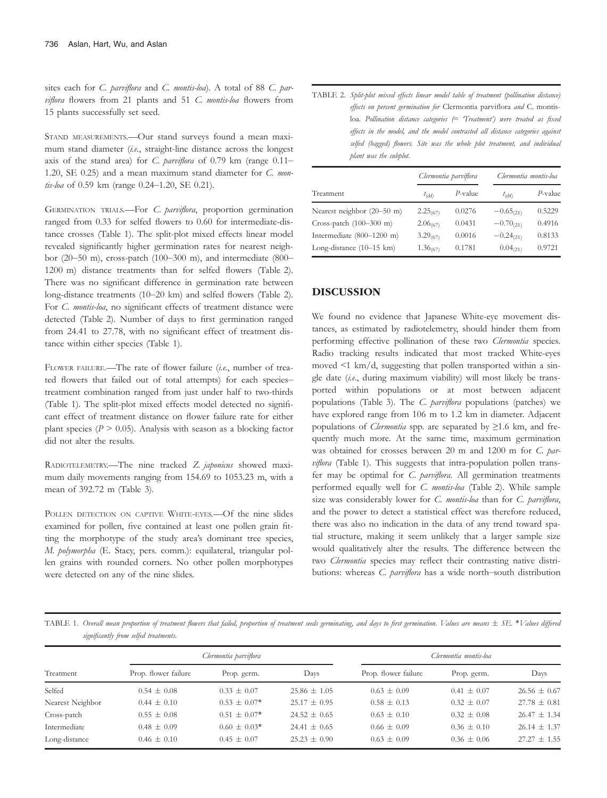sites each for C. parviflora and C. montis-loa). A total of 88 C. parviflora flowers from 21 plants and 51 C. montis-loa flowers from 15 plants successfully set seed.

STAND MEASUREMENTS.—Our stand surveys found a mean maximum stand diameter (i.e., straight-line distance across the longest axis of the stand area) for C. parviflora of 0.79 km (range 0.11– 1.20, SE 0.25) and a mean maximum stand diameter for C. montis-loa of 0.59 km (range 0.24–1.20, SE 0.21).

GERMINATION TRIALS.-For C. parviflora, proportion germination ranged from 0.33 for selfed flowers to 0.60 for intermediate-distance crosses (Table 1). The split-plot mixed effects linear model revealed significantly higher germination rates for nearest neighbor (20–50 m), cross-patch (100–300 m), and intermediate (800– 1200 m) distance treatments than for selfed flowers (Table 2). There was no significant difference in germination rate between long-distance treatments (10–20 km) and selfed flowers (Table 2). For C. montis-loa, no significant effects of treatment distance were detected (Table 2). Number of days to first germination ranged from 24.41 to 27.78, with no significant effect of treatment distance within either species (Table 1).

FLOWER FAILURE.-The rate of flower failure (i.e., number of treated flowers that failed out of total attempts) for each species– treatment combination ranged from just under half to two-thirds (Table 1). The split-plot mixed effects model detected no significant effect of treatment distance on flower failure rate for either plant species ( $P > 0.05$ ). Analysis with season as a blocking factor did not alter the results.

RADIOTELEMETRY.—The nine tracked Z. japonicus showed maximum daily movements ranging from 154.69 to 1053.23 m, with a mean of 392.72 m (Table 3).

POLLEN DETECTION ON CAPTIVE WHITE-EYES.—Of the nine slides examined for pollen, five contained at least one pollen grain fitting the morphotype of the study area's dominant tree species, M. polymorpha (E. Stacy, pers. comm.): equilateral, triangular pollen grains with rounded corners. No other pollen morphotypes were detected on any of the nine slides.

TABLE 2. Split-plot mixed effects linear model table of treatment (pollination distance) effects on percent germination for Clermontia parviflora and C. montisloa. Pollination distance categories (= 'Treatment') were treated as fixed effects in the model, and the model contrasted all distance categories against selfed (bagged) flowers. Site was the whole plot treatment, and individual plant was the subplot.

|                                    |                   | Clermontia parviflora | Clermontia montis-loa |         |
|------------------------------------|-------------------|-----------------------|-----------------------|---------|
| Treatment                          | $t_{\text{(df)}}$ | $P$ -value            | $t_{\text{(df)}}$     | P-value |
| Nearest neighbor (20-50 m)         | $2.25_{(67)}$     | 0.0276                | $-0.65_{(21)}$        | 0.5229  |
| Cross-patch $(100-300 \text{ m})$  | $2.06_{(67)}$     | 0.0431                | $-0.70_{(21)}$        | 0.4916  |
| Intermediate (800-1200 m)          | $3.29_{(67)}$     | 0.0016                | $-0.24_{(21)}$        | 0.8133  |
| Long-distance $(10-15 \text{ km})$ | $1.36_{(67)}$     | 0.1781                | $0.04_{(2,1)}$        | 0.9721  |

### DISCUSSION

We found no evidence that Japanese White-eye movement distances, as estimated by radiotelemetry, should hinder them from performing effective pollination of these two Clermontia species. Radio tracking results indicated that most tracked White-eyes moved  $\leq 1$  km/d, suggesting that pollen transported within a single date (i.e., during maximum viability) will most likely be transported within populations or at most between adjacent populations (Table 3). The C. parviflora populations (patches) we have explored range from 106 m to 1.2 km in diameter. Adjacent populations of *Clermontia* spp. are separated by  $\geq$ 1.6 km, and frequently much more. At the same time, maximum germination was obtained for crosses between 20 m and 1200 m for C. parviflora (Table 1). This suggests that intra-population pollen transfer may be optimal for *C. parviflora*. All germination treatments performed equally well for C. montis-loa (Table 2). While sample size was considerably lower for C. montis-loa than for C. parviflora, and the power to detect a statistical effect was therefore reduced, there was also no indication in the data of any trend toward spatial structure, making it seem unlikely that a larger sample size would qualitatively alter the results. The difference between the two Clermontia species may reflect their contrasting native distributions: whereas C. parviflora has a wide north-south distribution

TABLE 1. Overall mean proportion of treatment flowers that failed, proportion of treatment seeds germinating, and days to first germination. Values are means  $\pm$  SE. \*Values differed significantly from selfed treatments.

|                  | Clermontia parviflora |                  |                  | Clermontia montis-loa |                 |                  |
|------------------|-----------------------|------------------|------------------|-----------------------|-----------------|------------------|
| Treatment        | Prop. flower failure  | Prop. germ.      | Days             | Prop. flower failure  | Prop. germ.     | Days             |
| Selfed           | $0.54 \pm 0.08$       | $0.33 \pm 0.07$  | $25.86 \pm 1.05$ | $0.63 \pm 0.09$       | $0.41 \pm 0.07$ | $26.56 \pm 0.67$ |
| Nearest Neighbor | $0.44 \pm 0.10$       | $0.53 \pm 0.07*$ | $25.17 \pm 0.95$ | $0.58 \pm 0.13$       | $0.32 \pm 0.07$ | $27.78 \pm 0.81$ |
| Cross-patch      | $0.55 \pm 0.08$       | $0.51 \pm 0.07*$ | $24.52 \pm 0.65$ | $0.63 \pm 0.10$       | $0.32 \pm 0.08$ | $26.47 \pm 1.34$ |
| Intermediate     | $0.48 \pm 0.09$       | $0.60 \pm 0.03*$ | $24.41 \pm 0.65$ | $0.66 \pm 0.09$       | $0.36 \pm 0.10$ | $26.14 \pm 1.37$ |
| Long-distance    | $0.46 \pm 0.10$       | $0.45 \pm 0.07$  | $25.23 \pm 0.90$ | $0.63 \pm 0.09$       | $0.36 \pm 0.06$ | $27.27 \pm 1.55$ |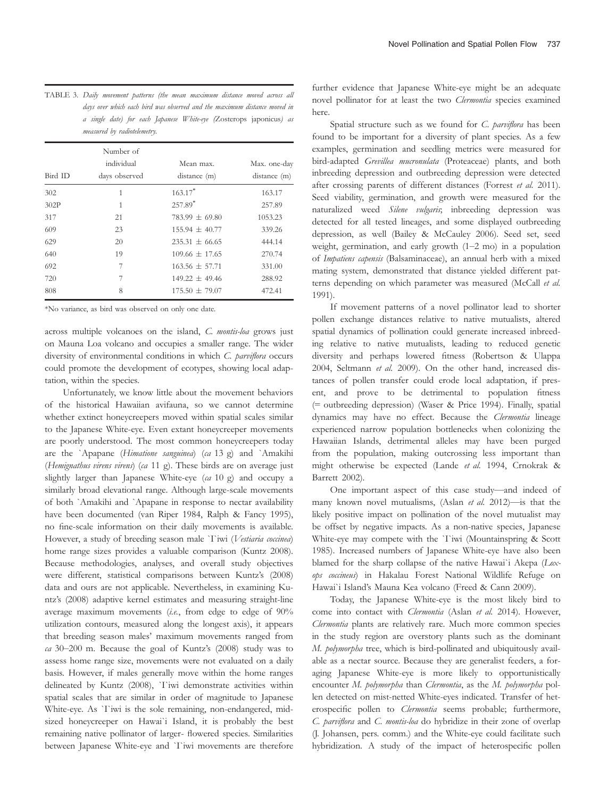TABLE 3. Daily movement patterns (the mean maximum distance moved across all days over which each bird was observed and the maximum distance moved in a single date) for each Japanese White-eye (Zosterops japonicus) as measured by radiotelemetry.

| Bird ID | Number of<br>individual<br>days observed | Mean max.<br>distance (m) | Max. one-day<br>distance (m) |
|---------|------------------------------------------|---------------------------|------------------------------|
| 302     | 1                                        | $163.17$ <sup>*</sup>     | 163.17                       |
| 302P    | 1                                        | 257.89                    | 257.89                       |
| 317     | 21                                       | $783.99 \pm 69.80$        | 1053.23                      |
| 609     | 23                                       | $155.94 + 40.77$          | 339.26                       |
| 629     | 20                                       | $235.31 \pm 66.65$        | 444.14                       |
| 640     | 19                                       | $109.66 \pm 17.65$        | 270.74                       |
| 692     | 7                                        | $163.56 \pm 57.71$        | 331.00                       |
| 720     | 7                                        | $149.22 + 49.46$          | 288.92                       |
| 808     | 8                                        | $175.50 + 79.07$          | 472.41                       |

\*No variance, as bird was observed on only one date.

across multiple volcanoes on the island, C. montis-loa grows just on Mauna Loa volcano and occupies a smaller range. The wider diversity of environmental conditions in which C. parviflora occurs could promote the development of ecotypes, showing local adaptation, within the species.

Unfortunately, we know little about the movement behaviors of the historical Hawaiian avifauna, so we cannot determine whether extinct honeycreepers moved within spatial scales similar to the Japanese White-eye. Even extant honeycreeper movements are poorly understood. The most common honeycreepers today are the `Apapane (Himatione sanguinea) (ca 13 g) and `Amakihi (Hemignathus virens virens) (ca 11 g). These birds are on average just slightly larger than Japanese White-eye  $(aa 10 g)$  and occupy a similarly broad elevational range. Although large-scale movements of both `Amakihi and `Apapane in response to nectar availability have been documented (van Riper 1984, Ralph & Fancy 1995), no fine-scale information on their daily movements is available. However, a study of breeding season male `I`iwi (Vestiaria coccinea) home range sizes provides a valuable comparison (Kuntz 2008). Because methodologies, analyses, and overall study objectives were different, statistical comparisons between Kuntz's (2008) data and ours are not applicable. Nevertheless, in examining Kuntz's (2008) adaptive kernel estimates and measuring straight-line average maximum movements (i.e., from edge to edge of  $90\%$ utilization contours, measured along the longest axis), it appears that breeding season males' maximum movements ranged from ca 30–200 m. Because the goal of Kuntz's (2008) study was to assess home range size, movements were not evaluated on a daily basis. However, if males generally move within the home ranges delineated by Kuntz (2008), `I`iwi demonstrate activities within spatial scales that are similar in order of magnitude to Japanese White-eye. As `I`iwi is the sole remaining, non-endangered, midsized honeycreeper on Hawai`i Island, it is probably the best remaining native pollinator of larger- flowered species. Similarities between Japanese White-eye and `I`iwi movements are therefore

further evidence that Japanese White-eye might be an adequate novel pollinator for at least the two Clermontia species examined here.

Spatial structure such as we found for C. parviflora has been found to be important for a diversity of plant species. As a few examples, germination and seedling metrics were measured for bird-adapted Grevillea mucronulata (Proteaceae) plants, and both inbreeding depression and outbreeding depression were detected after crossing parents of different distances (Forrest et al. 2011). Seed viability, germination, and growth were measured for the naturalized weed Silene vulgaris; inbreeding depression was detected for all tested lineages, and some displayed outbreeding depression, as well (Bailey & McCauley 2006). Seed set, seed weight, germination, and early growth (1–2 mo) in a population of Impatiens capensis (Balsaminaceae), an annual herb with a mixed mating system, demonstrated that distance yielded different patterns depending on which parameter was measured (McCall et al. 1991).

If movement patterns of a novel pollinator lead to shorter pollen exchange distances relative to native mutualists, altered spatial dynamics of pollination could generate increased inbreeding relative to native mutualists, leading to reduced genetic diversity and perhaps lowered fitness (Robertson & Ulappa 2004, Seltmann et al. 2009). On the other hand, increased distances of pollen transfer could erode local adaptation, if present, and prove to be detrimental to population fitness (= outbreeding depression) (Waser & Price 1994). Finally, spatial dynamics may have no effect. Because the Clermontia lineage experienced narrow population bottlenecks when colonizing the Hawaiian Islands, detrimental alleles may have been purged from the population, making outcrossing less important than might otherwise be expected (Lande et al. 1994, Crnokrak & Barrett 2002).

One important aspect of this case study—and indeed of many known novel mutualisms, (Aslan et al. 2012)—is that the likely positive impact on pollination of the novel mutualist may be offset by negative impacts. As a non-native species, Japanese White-eye may compete with the `I`iwi (Mountainspring & Scott 1985). Increased numbers of Japanese White-eye have also been blamed for the sharp collapse of the native Hawai'i Akepa (Loxops coccineus) in Hakalau Forest National Wildlife Refuge on Hawai`i Island's Mauna Kea volcano (Freed & Cann 2009).

Today, the Japanese White-eye is the most likely bird to come into contact with Clermontia (Aslan et al. 2014). However, Clermontia plants are relatively rare. Much more common species in the study region are overstory plants such as the dominant M. polymorpha tree, which is bird-pollinated and ubiquitously available as a nectar source. Because they are generalist feeders, a foraging Japanese White-eye is more likely to opportunistically encounter M. polymorpha than Clermontia, as the M. polymorpha pollen detected on mist-netted White-eyes indicated. Transfer of heterospecific pollen to *Clermontia* seems probable; furthermore, C. parviflora and C. montis-loa do hybridize in their zone of overlap (J. Johansen, pers. comm.) and the White-eye could facilitate such hybridization. A study of the impact of heterospecific pollen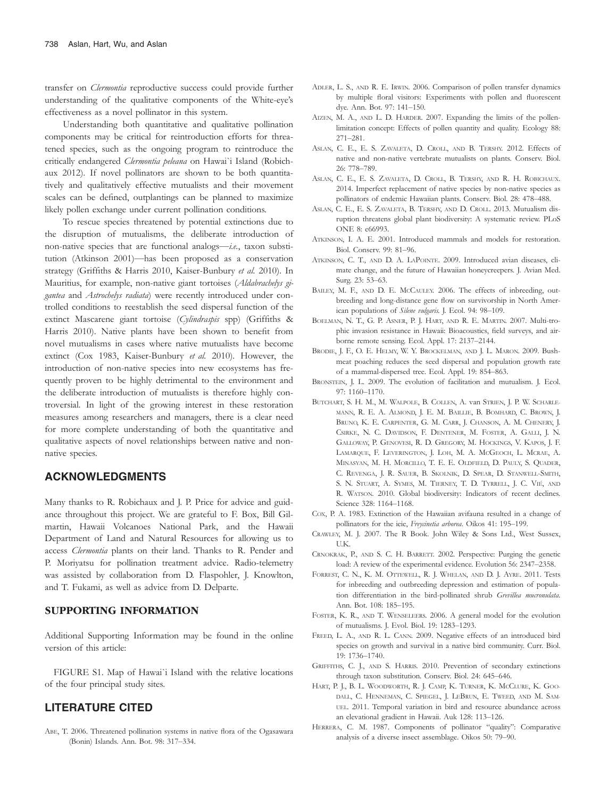transfer on Clermontia reproductive success could provide further understanding of the qualitative components of the White-eye's effectiveness as a novel pollinator in this system.

Understanding both quantitative and qualitative pollination components may be critical for reintroduction efforts for threatened species, such as the ongoing program to reintroduce the critically endangered Clermontia peleana on Hawai`i Island (Robichaux 2012). If novel pollinators are shown to be both quantitatively and qualitatively effective mutualists and their movement scales can be defined, outplantings can be planned to maximize likely pollen exchange under current pollination conditions.

To rescue species threatened by potential extinctions due to the disruption of mutualisms, the deliberate introduction of non-native species that are functional analogs—i.e., taxon substitution (Atkinson 2001)—has been proposed as a conservation strategy (Griffiths & Harris 2010, Kaiser-Bunbury et al. 2010). In Mauritius, for example, non-native giant tortoises (Aldabrachelys gigantea and Astrochelys radiata) were recently introduced under controlled conditions to reestablish the seed dispersal function of the extinct Mascarene giant tortoise (Cylindraspis spp) (Griffiths & Harris 2010). Native plants have been shown to benefit from novel mutualisms in cases where native mutualists have become extinct (Cox 1983, Kaiser-Bunbury et al. 2010). However, the introduction of non-native species into new ecosystems has frequently proven to be highly detrimental to the environment and the deliberate introduction of mutualists is therefore highly controversial. In light of the growing interest in these restoration measures among researchers and managers, there is a clear need for more complete understanding of both the quantitative and qualitative aspects of novel relationships between native and nonnative species.

## ACKNOWLEDGMENTS

Many thanks to R. Robichaux and J. P. Price for advice and guidance throughout this project. We are grateful to F. Box, Bill Gilmartin, Hawaii Volcanoes National Park, and the Hawaii Department of Land and Natural Resources for allowing us to access Clermontia plants on their land. Thanks to R. Pender and P. Moriyatsu for pollination treatment advice. Radio-telemetry was assisted by collaboration from D. Flaspohler, J. Knowlton, and T. Fukami, as well as advice from D. Delparte.

#### SUPPORTING INFORMATION

Additional Supporting Information may be found in the online version of this article:

FIGURE S1. Map of Hawai`i Island with the relative locations of the four principal study sites.

## LITERATURE CITED

ABE, T. 2006. Threatened pollination systems in native flora of the Ogasawara (Bonin) Islands. Ann. Bot. 98: 317–334.

- ADLER, L. S., AND R. E. IRWIN. 2006. Comparison of pollen transfer dynamics by multiple floral visitors: Experiments with pollen and fluorescent dye. Ann. Bot. 97: 141–150.
- AIZEN, M. A., AND L. D. HARDER. 2007. Expanding the limits of the pollenlimitation concept: Effects of pollen quantity and quality. Ecology 88: 271–281.
- ASLAN, C. E., E. S. ZAVALETA, D. CROLL, AND B. TERSHY. 2012. Effects of native and non-native vertebrate mutualists on plants. Conserv. Biol. 26: 778–789.
- ASLAN, C. E., E. S. ZAVALETA, D. CROLL, B. TERSHY, AND R. H. ROBICHAUX. 2014. Imperfect replacement of native species by non-native species as pollinators of endemic Hawaiian plants. Conserv. Biol. 28: 478–488.
- ASLAN, C. E., E. S. ZAVALETA, B. TERSHY, AND D. CROLL. 2013. Mutualism disruption threatens global plant biodiversity: A systematic review. PLoS ONE 8: e66993.
- ATKINSON, I. A. E. 2001. Introduced mammals and models for restoration. Biol. Conserv. 99: 81–96.
- ATKINSON, C. T., AND D. A. LAPOINTE. 2009. Introduced avian diseases, climate change, and the future of Hawaiian honeycreepers. J. Avian Med. Surg. 23: 53–63.
- BAILEY, M. F., AND D. E. McCAULEY. 2006. The effects of inbreeding, outbreeding and long-distance gene flow on survivorship in North American populations of Silene vulgaris. J. Ecol. 94: 98-109.
- BOELMAN, N. T., G. P. ASNER, P. J. HART, AND R. E. MARTIN. 2007. Multi-trophic invasion resistance in Hawaii: Bioacoustics, field surveys, and airborne remote sensing. Ecol. Appl. 17: 2137–2144.
- BRODIE, J. F., O. E. HELMY, W. Y. BROCKELMAN, AND J. L. MARON. 2009. Bushmeat poaching reduces the seed dispersal and population growth rate of a mammal-dispersed tree. Ecol. Appl. 19: 854–863.
- BRONSTEIN, J. L. 2009. The evolution of facilitation and mutualism. J. Ecol. 97: 1160–1170.
- BUTCHART, S. H. M., M. WALPOLE, B. COLLEN, A. van STRIEN, J. P. W. SCHARLE-MANN, R. E. A. ALMOND, J. E. M. BAILLIE, B. BOMHARD, C. BROWN, J. BRUNO, K. E. CARPENTER, G. M. CARR, J. CHANSON, A. M. CHENERY, J. CSIRKE, N. C. DAVIDSON, F. DENTENER, M. FOSTER, A. GALLI, J. N. GALLOWAY, P. GENOVESI, R. D. GREGORY, M. HOCKINGS, V. KAPOS, J. F. LAMARQUE, F. LEVERINGTON, J. LOH, M. A. MCGEOCH, L. MCRAE, A. MINASYAN, M. H. MORCILLO, T. E. E. OLDFIELD, D. PAULY, S. QUADER, C. REVENGA, J. R. SAUER, B. SKOLNIK, D. SPEAR, D. STANWELL-SMITH, S. N. STUART, A. SYMES, M. TIERNEY, T. D. TYRRELL, J. C. VIÉ, AND R. WATSON. 2010. Global biodiversity: Indicators of recent declines. Science 328: 1164–1168.
- COX, P. A. 1983. Extinction of the Hawaiian avifauna resulted in a change of pollinators for the ieie, Freycinetia arborea. Oikos 41: 195–199.
- CRAWLEY, M. J. 2007. The R Book. John Wiley & Sons Ltd., West Sussex, U.K.
- CRNOKRAK, P., AND S. C. H. BARRETT. 2002. Perspective: Purging the genetic load: A review of the experimental evidence. Evolution 56: 2347–2358.
- FORREST, C. N., K. M. OTTEWELL, R. J. WHELAN, AND D. J. AYRE. 2011. Tests for inbreeding and outbreeding depression and estimation of population differentiation in the bird-pollinated shrub Grevillea mucronulata. Ann. Bot. 108: 185–195.
- FOSTER, K. R., AND T. WENSELEERS. 2006. A general model for the evolution of mutualisms. J. Evol. Biol. 19: 1283–1293.
- FREED, L. A., AND R. L. CANN. 2009. Negative effects of an introduced bird species on growth and survival in a native bird community. Curr. Biol. 19: 1736–1740.
- GRIFFITHS, C. J., AND S. HARRIS. 2010. Prevention of secondary extinctions through taxon substitution. Conserv. Biol. 24: 645–646.
- HART, P. J., B. L. WOODWORTH, R. J. CAMP, K. TURNER, K. MCCLURE, K. GOO-DALL, C. HENNEMAN, C. SPIEGEL, J. LEBRUN, E. TWEED, AND M. SAM-UEL. 2011. Temporal variation in bird and resource abundance across an elevational gradient in Hawaii. Auk 128: 113–126.
- HERRERA, C. M. 1987. Components of pollinator "quality": Comparative analysis of a diverse insect assemblage. Oikos 50: 79–90.